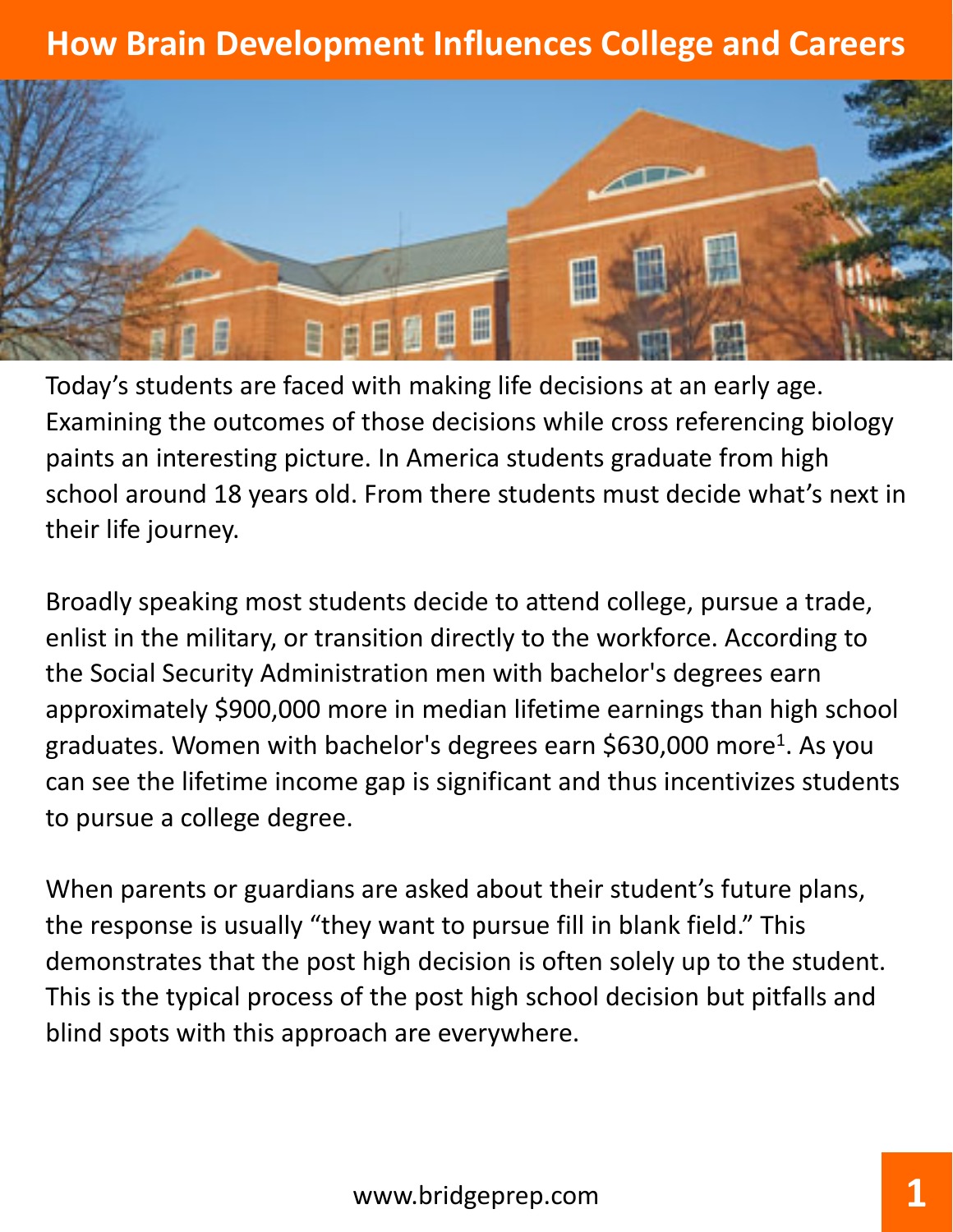

Today's students are faced with making life decisions at an early age. Examining the outcomes of those decisions while cross referencing biology paints an interesting picture. In America students graduate from high school around 18 years old. From there students must decide what's next in their life journey.

Broadly speaking most students decide to attend college, pursue a trade, enlist in the military, or transition directly to the workforce. According to the Social Security Administration men with bachelor's degrees earn approximately \$900,000 more in median lifetime earnings than high school graduates. Women with bachelor's degrees earn \$630,000 more<sup>1</sup>. As you can see the lifetime income gap is significant and thus incentivizes students to pursue a college degree.

When parents or guardians are asked about their student's future plans, the response is usually "they want to pursue fill in blank field." This demonstrates that the post high decision is often solely up to the student. This is the typical process of the post high school decision but pitfalls and blind spots with this approach are everywhere.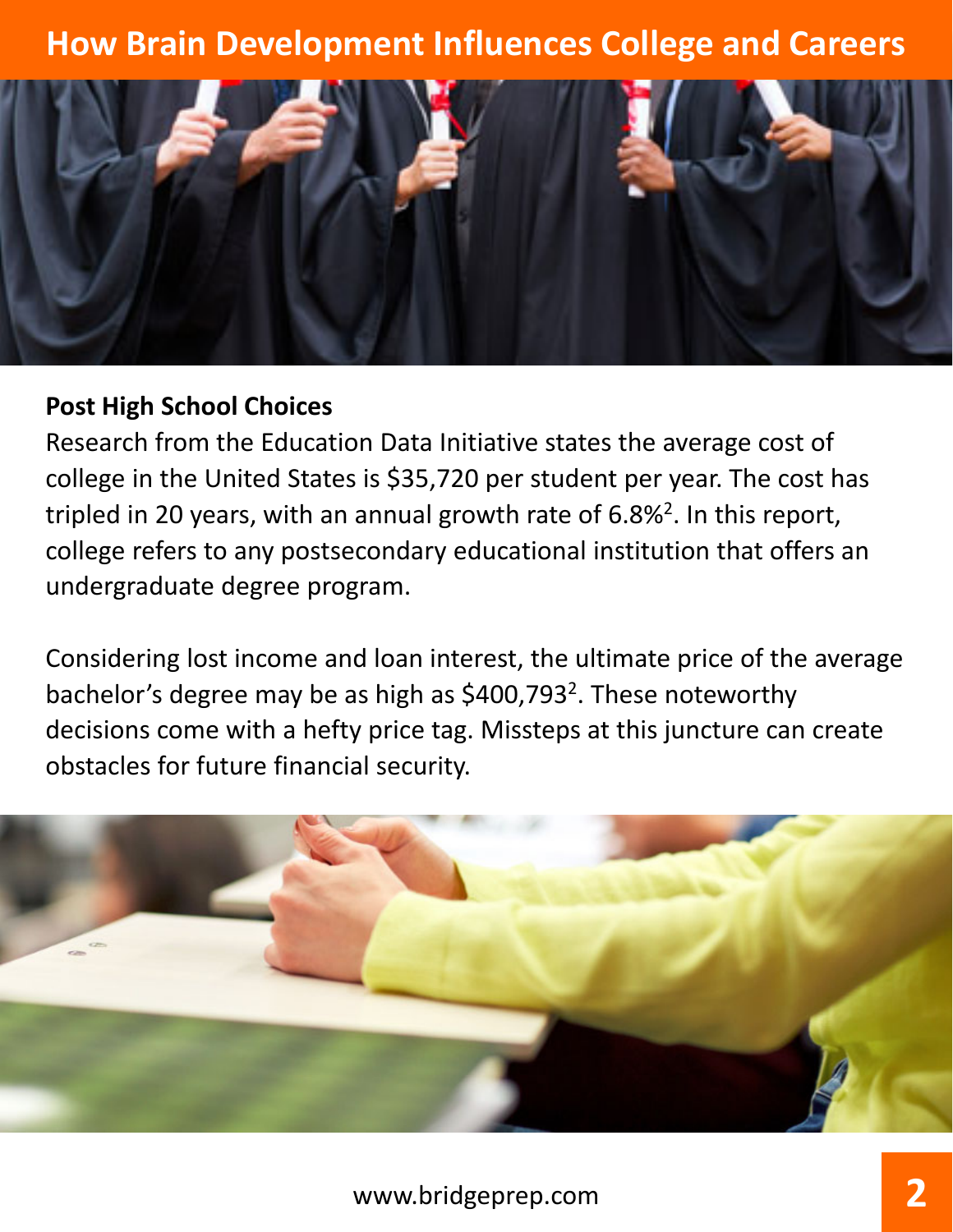

#### **Post High School Choices**

Research from the Education Data Initiative states the average cost of college in the United States is \$35,720 per student per year. The cost has tripled in 20 years, with an annual growth rate of 6.8%<sup>2</sup>. In this report, college refers to any postsecondary educational institution that offers an undergraduate degree program.

Considering lost income and loan interest, the ultimate price of the average bachelor's degree may be as high as \$400,7932. These noteworthy decisions come with a hefty price tag. Missteps at this juncture can create obstacles for future financial security.

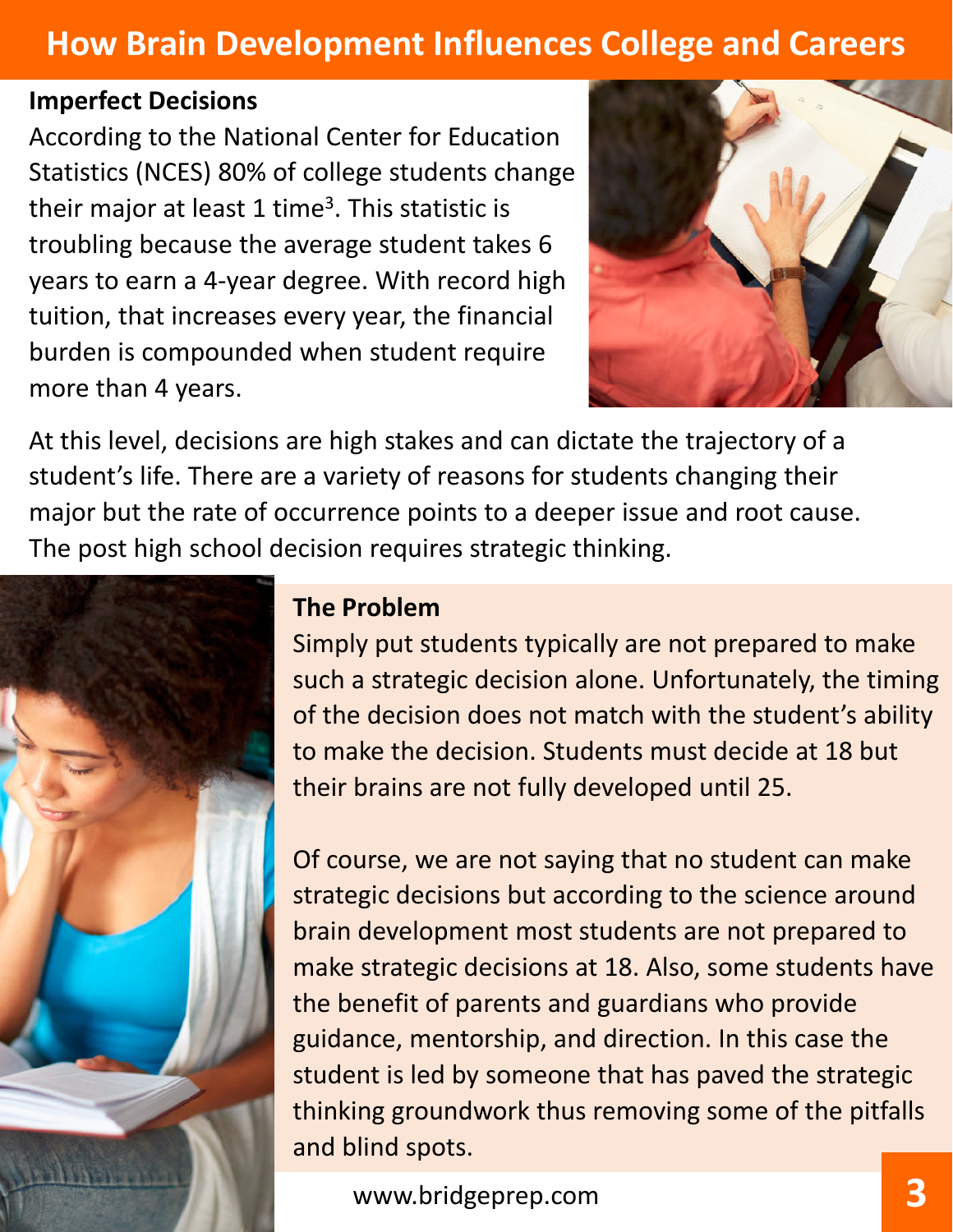### **Imperfect Decisions**

According to the National Center for Education Statistics (NCES) 80% of college students change their major at least 1 time<sup>3</sup>. This statistic is troubling because the average student takes 6 years to earn a 4‐year degree. With record high tuition, that increases every year, the financial burden is compounded when student require more than 4 years.



At this level, decisions are high stakes and can dictate the trajectory of a student's life. There are a variety of reasons for students changing their major but the rate of occurrence points to a deeper issue and root cause. The post high school decision requires strategic thinking.



### **The Problem**

Simply put students typically are not prepared to make such a strategic decision alone. Unfortunately, the timing of the decision does not match with the student's ability to make the decision. Students must decide at 18 but their brains are not fully developed until 25.

Of course, we are not saying that no student can make strategic decisions but according to the science around brain development most students are not prepared to make strategic decisions at 18. Also, some students have the benefit of parents and guardians who provide guidance, mentorship, and direction. In this case the student is led by someone that has paved the strategic thinking groundwork thus removing some of the pitfalls and blind spots.

www.bridgeprep.com **3**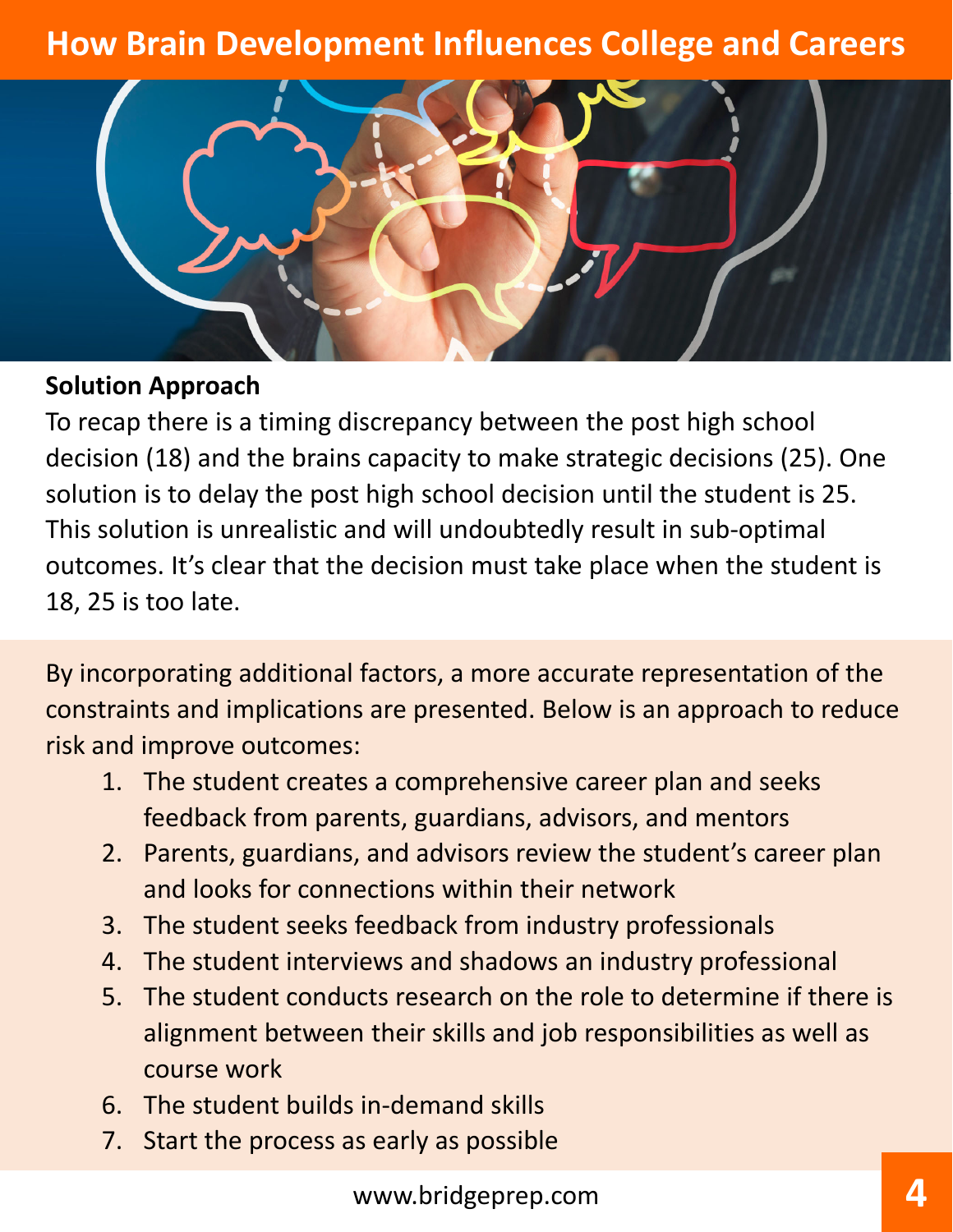

### **Solution Approach**

To recap there is a timing discrepancy between the post high school decision (18) and the brains capacity to make strategic decisions (25). One solution is to delay the post high school decision until the student is 25. This solution is unrealistic and will undoubtedly result in sub‐optimal outcomes. It's clear that the decision must take place when the student is 18, 25 is too late.

By incorporating additional factors, a more accurate representation of the constraints and implications are presented. Below is an approach to reduce risk and improve outcomes:

- 1. The student creates a comprehensive career plan and seeks feedback from parents, guardians, advisors, and mentors
- 2. Parents, guardians, and advisors review the student's career plan and looks for connections within their network
- 3. The student seeks feedback from industry professionals
- 4. The student interviews and shadows an industry professional
- 5. The student conducts research on the role to determine if there is alignment between their skills and job responsibilities as well as course work
- 6. The student builds in‐demand skills
- 7. Start the process as early as possible